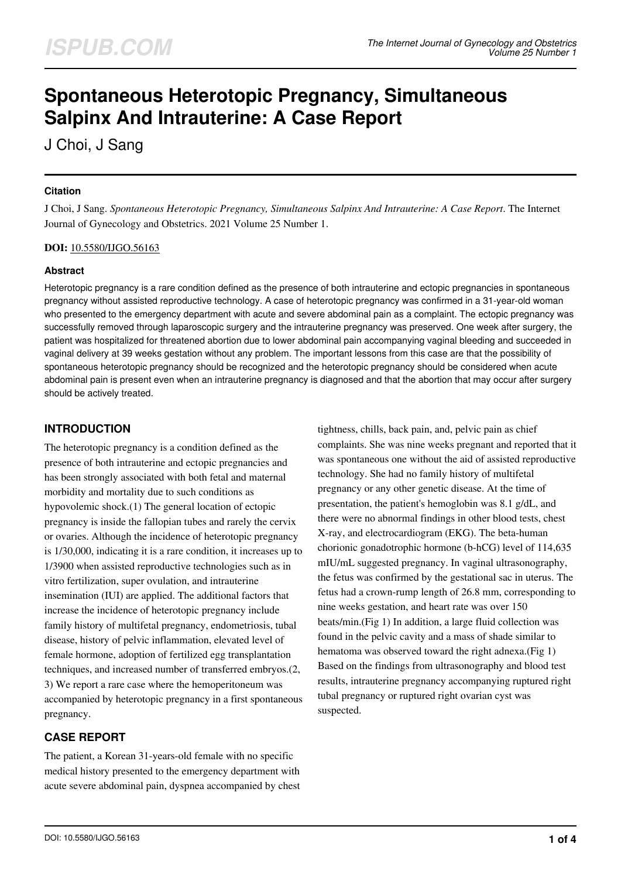# **Spontaneous Heterotopic Pregnancy, Simultaneous Salpinx And Intrauterine: A Case Report**

J Choi, J Sang

## **Citation**

J Choi, J Sang. *Spontaneous Heterotopic Pregnancy, Simultaneous Salpinx And Intrauterine: A Case Report*. The Internet Journal of Gynecology and Obstetrics. 2021 Volume 25 Number 1.

#### **DOI:** [10.5580/IJGO.56163](https://ispub.com/doi/10.5580/IJGO.56163)

## **Abstract**

Heterotopic pregnancy is a rare condition defined as the presence of both intrauterine and ectopic pregnancies in spontaneous pregnancy without assisted reproductive technology. A case of heterotopic pregnancy was confirmed in a 31-year-old woman who presented to the emergency department with acute and severe abdominal pain as a complaint. The ectopic pregnancy was successfully removed through laparoscopic surgery and the intrauterine pregnancy was preserved. One week after surgery, the patient was hospitalized for threatened abortion due to lower abdominal pain accompanying vaginal bleeding and succeeded in vaginal delivery at 39 weeks gestation without any problem. The important lessons from this case are that the possibility of spontaneous heterotopic pregnancy should be recognized and the heterotopic pregnancy should be considered when acute abdominal pain is present even when an intrauterine pregnancy is diagnosed and that the abortion that may occur after surgery should be actively treated.

# **INTRODUCTION**

The heterotopic pregnancy is a condition defined as the presence of both intrauterine and ectopic pregnancies and has been strongly associated with both fetal and maternal morbidity and mortality due to such conditions as hypovolemic shock.(1) The general location of ectopic pregnancy is inside the fallopian tubes and rarely the cervix or ovaries. Although the incidence of heterotopic pregnancy is 1/30,000, indicating it is a rare condition, it increases up to 1/3900 when assisted reproductive technologies such as in vitro fertilization, super ovulation, and intrauterine insemination (IUI) are applied. The additional factors that increase the incidence of heterotopic pregnancy include family history of multifetal pregnancy, endometriosis, tubal disease, history of pelvic inflammation, elevated level of female hormone, adoption of fertilized egg transplantation techniques, and increased number of transferred embryos.(2, 3) We report a rare case where the hemoperitoneum was accompanied by heterotopic pregnancy in a first spontaneous pregnancy.

# **CASE REPORT**

The patient, a Korean 31-years-old female with no specific medical history presented to the emergency department with acute severe abdominal pain, dyspnea accompanied by chest tightness, chills, back pain, and, pelvic pain as chief complaints. She was nine weeks pregnant and reported that it was spontaneous one without the aid of assisted reproductive technology. She had no family history of multifetal pregnancy or any other genetic disease. At the time of presentation, the patient's hemoglobin was 8.1 g/dL, and there were no abnormal findings in other blood tests, chest X-ray, and electrocardiogram (EKG). The beta-human chorionic gonadotrophic hormone (b-hCG) level of 114,635 mIU/mL suggested pregnancy. In vaginal ultrasonography, the fetus was confirmed by the gestational sac in uterus. The fetus had a crown-rump length of 26.8 mm, corresponding to nine weeks gestation, and heart rate was over 150 beats/min.(Fig 1) In addition, a large fluid collection was found in the pelvic cavity and a mass of shade similar to hematoma was observed toward the right adnexa.(Fig 1) Based on the findings from ultrasonography and blood test results, intrauterine pregnancy accompanying ruptured right tubal pregnancy or ruptured right ovarian cyst was suspected.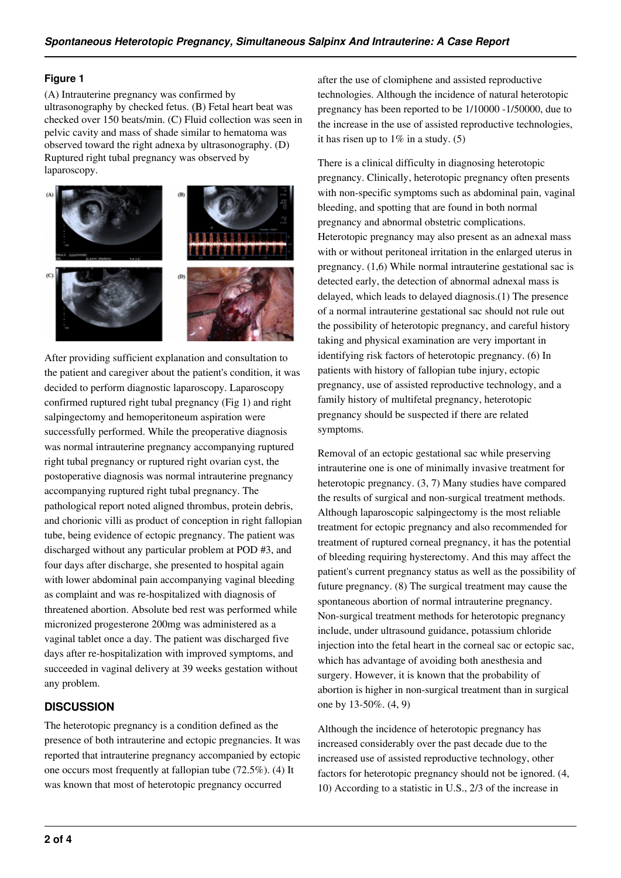#### **Figure 1**

(A) Intrauterine pregnancy was confirmed by ultrasonography by checked fetus. (B) Fetal heart beat was checked over 150 beats/min. (C) Fluid collection was seen in pelvic cavity and mass of shade similar to hematoma was observed toward the right adnexa by ultrasonography. (D) Ruptured right tubal pregnancy was observed by laparoscopy.



After providing sufficient explanation and consultation to the patient and caregiver about the patient's condition, it was decided to perform diagnostic laparoscopy. Laparoscopy confirmed ruptured right tubal pregnancy (Fig 1) and right salpingectomy and hemoperitoneum aspiration were successfully performed. While the preoperative diagnosis was normal intrauterine pregnancy accompanying ruptured right tubal pregnancy or ruptured right ovarian cyst, the postoperative diagnosis was normal intrauterine pregnancy accompanying ruptured right tubal pregnancy. The pathological report noted aligned thrombus, protein debris, and chorionic villi as product of conception in right fallopian tube, being evidence of ectopic pregnancy. The patient was discharged without any particular problem at POD #3, and four days after discharge, she presented to hospital again with lower abdominal pain accompanying vaginal bleeding as complaint and was re-hospitalized with diagnosis of threatened abortion. Absolute bed rest was performed while micronized progesterone 200mg was administered as a vaginal tablet once a day. The patient was discharged five days after re-hospitalization with improved symptoms, and succeeded in vaginal delivery at 39 weeks gestation without any problem.

# **DISCUSSION**

The heterotopic pregnancy is a condition defined as the presence of both intrauterine and ectopic pregnancies. It was reported that intrauterine pregnancy accompanied by ectopic one occurs most frequently at fallopian tube (72.5%). (4) It was known that most of heterotopic pregnancy occurred

after the use of clomiphene and assisted reproductive technologies. Although the incidence of natural heterotopic pregnancy has been reported to be 1/10000 -1/50000, due to the increase in the use of assisted reproductive technologies, it has risen up to  $1\%$  in a study. (5)

There is a clinical difficulty in diagnosing heterotopic pregnancy. Clinically, heterotopic pregnancy often presents with non-specific symptoms such as abdominal pain, vaginal bleeding, and spotting that are found in both normal pregnancy and abnormal obstetric complications. Heterotopic pregnancy may also present as an adnexal mass with or without peritoneal irritation in the enlarged uterus in pregnancy. (1,6) While normal intrauterine gestational sac is detected early, the detection of abnormal adnexal mass is delayed, which leads to delayed diagnosis.(1) The presence of a normal intrauterine gestational sac should not rule out the possibility of heterotopic pregnancy, and careful history taking and physical examination are very important in identifying risk factors of heterotopic pregnancy. (6) In patients with history of fallopian tube injury, ectopic pregnancy, use of assisted reproductive technology, and a family history of multifetal pregnancy, heterotopic pregnancy should be suspected if there are related symptoms.

Removal of an ectopic gestational sac while preserving intrauterine one is one of minimally invasive treatment for heterotopic pregnancy. (3, 7) Many studies have compared the results of surgical and non-surgical treatment methods. Although laparoscopic salpingectomy is the most reliable treatment for ectopic pregnancy and also recommended for treatment of ruptured corneal pregnancy, it has the potential of bleeding requiring hysterectomy. And this may affect the patient's current pregnancy status as well as the possibility of future pregnancy. (8) The surgical treatment may cause the spontaneous abortion of normal intrauterine pregnancy. Non-surgical treatment methods for heterotopic pregnancy include, under ultrasound guidance, potassium chloride injection into the fetal heart in the corneal sac or ectopic sac, which has advantage of avoiding both anesthesia and surgery. However, it is known that the probability of abortion is higher in non-surgical treatment than in surgical one by 13-50%. (4, 9)

Although the incidence of heterotopic pregnancy has increased considerably over the past decade due to the increased use of assisted reproductive technology, other factors for heterotopic pregnancy should not be ignored. (4, 10) According to a statistic in U.S., 2/3 of the increase in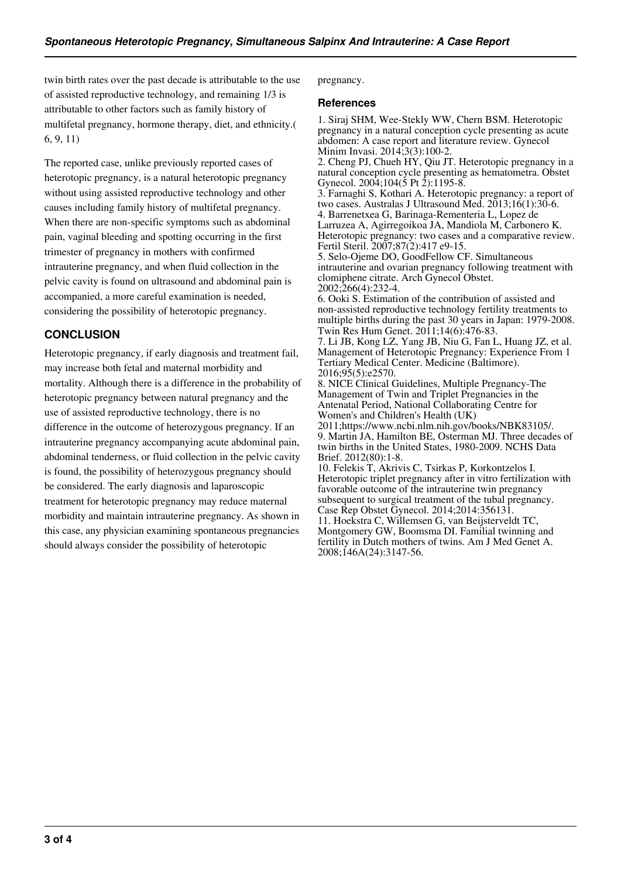twin birth rates over the past decade is attributable to the use of assisted reproductive technology, and remaining 1/3 is attributable to other factors such as family history of multifetal pregnancy, hormone therapy, diet, and ethnicity.( 6, 9, 11)

The reported case, unlike previously reported cases of heterotopic pregnancy, is a natural heterotopic pregnancy without using assisted reproductive technology and other causes including family history of multifetal pregnancy. When there are non-specific symptoms such as abdominal pain, vaginal bleeding and spotting occurring in the first trimester of pregnancy in mothers with confirmed intrauterine pregnancy, and when fluid collection in the pelvic cavity is found on ultrasound and abdominal pain is accompanied, a more careful examination is needed, considering the possibility of heterotopic pregnancy.

# **CONCLUSION**

Heterotopic pregnancy, if early diagnosis and treatment fail, may increase both fetal and maternal morbidity and mortality. Although there is a difference in the probability of heterotopic pregnancy between natural pregnancy and the use of assisted reproductive technology, there is no difference in the outcome of heterozygous pregnancy. If an intrauterine pregnancy accompanying acute abdominal pain, abdominal tenderness, or fluid collection in the pelvic cavity is found, the possibility of heterozygous pregnancy should be considered. The early diagnosis and laparoscopic treatment for heterotopic pregnancy may reduce maternal morbidity and maintain intrauterine pregnancy. As shown in this case, any physician examining spontaneous pregnancies should always consider the possibility of heterotopic

pregnancy.

#### **References**

1. Siraj SHM, Wee-Stekly WW, Chern BSM. Heterotopic pregnancy in a natural conception cycle presenting as acute abdomen: A case report and literature review. Gynecol Minim Invasi. 2014;3(3):100-2.

2. Cheng PJ, Chueh  $\overrightarrow{HY}$ , Qiu JT. Heterotopic pregnancy in a natural conception cycle presenting as hematometra. Obstet Gynecol. 2004;104(5 Pt 2):1195-8.

3. Farnaghi S, Kothari A. Heterotopic pregnancy: a report of two cases. Australas J Ultrasound Med.  $2013;16(1):30-6$ . 4. Barrenetxea G, Barinaga-Rementeria L, Lopez de Larruzea A, Agirregoikoa JA, Mandiola M, Carbonero K. Heterotopic pregnancy: two cases and a comparative review. Fertil Steril. 2007;87(2):417 e9-15.

5. Selo-Ojeme DO, GoodFellow CF. Simultaneous intrauterine and ovarian pregnancy following treatment with clomiphene citrate. Arch Gynecol Obstet. 2002;266(4):232-4.

6. Ooki S. Estimation of the contribution of assisted and non-assisted reproductive technology fertility treatments to multiple births during the past 30 years in Japan: 1979-2008. Twin Res Hum Genet. 2011;14(6):476-83.

7. Li JB, Kong LZ, Yang JB, Niu G, Fan L, Huang JZ, et al. Management of Heterotopic Pregnancy: Experience From 1 Tertiary Medical Center. Medicine (Baltimore). 2016;95(5):e2570.

8. NICE Clinical Guidelines, Multiple Pregnancy-The Management of Twin and Triplet Pregnancies in the Antenatal Period, National Collaborating Centre for Women's and Children's Health (UK)

2011;https://www.ncbi.nlm.nih.gov/books/NBK83105/. 9. Martin JA, Hamilton BE, Osterman MJ. Three decades of twin births in the United States, 1980-2009. NCHS Data Brief. 2012(80):1-8.

10. Felekis T, Akrivis C, Tsirkas P, Korkontzelos I. Heterotopic triplet pregnancy after in vitro fertilization with favorable outcome of the intrauterine twin pregnancy subsequent to surgical treatment of the tubal pregnancy. Case Rep Obstet Gynecol. 2014;2014:356131. 11. Hoekstra C, Willemsen G, van Beijsterveldt TC,

Montgomery GW, Boomsma DI. Familial twinning and fertility in Dutch mothers of twins. Am J Med Genet A. 2008;146A(24):3147-56.